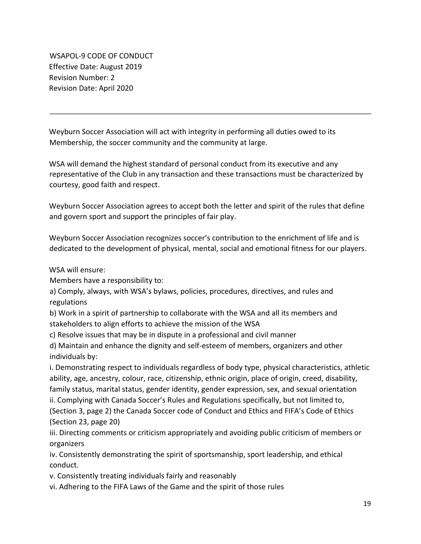WSAPOL-9 CODE OF CONDUCT Effective Date: August 2019 Revision Number: 2 Revision Date: April 2020

Weyburn Soccer Association will act with integrity in performing all duties owed to its Membership, the soccer community and the community at large.

WSA will demand the highest standard of personal conduct from its executive and any representative of the Club in any transaction and these transactions must be characterized by courtesy, good faith and respect.

Weyburn Soccer Association agrees to accept both the letter and spirit of the rules that define and govern sport and support the principles of fair play.

Weyburn Soccer Association recognizes soccer's contribution to the enrichment of life and is dedicated to the development of physical, mental, social and emotional fitness for our players.

WSA will ensure:

Members have a responsibility to:

a) Comply, always, with WSA's bylaws, policies, procedures, directives, and rules and regulations

b) Work in a spirit of partnership to collaborate with the WSA and all its members and stakeholders to align efforts to achieve the mission of the WSA

c) Resolve issues that may be in dispute in a professional and civil manner

d) Maintain and enhance the dignity and self-esteem of members, organizers and other individuals by:

i. Demonstrating respect to individuals regardless of body type, physical characteristics, athletic ability, age, ancestry, colour, race, citizenship, ethnic origin, place of origin, creed, disability, family status, marital status, gender identity, gender expression, sex, and sexual orientation

ii. Complying with Canada Soccer's Rules and Regulations specifically, but not limited to,

(Section 3, page 2) the Canada Soccer code of Conduct and Ethics and FIFA's Code of Ethics (Section 23, page 20)

iii. Directing comments or criticism appropriately and avoiding public criticism of members or organizers

iv. Consistently demonstrating the spirit of sportsmanship, sport leadership, and ethical conduct.

v. Consistently treating individuals fairly and reasonably

vi. Adhering to the FIFA Laws of the Game and the spirit of those rules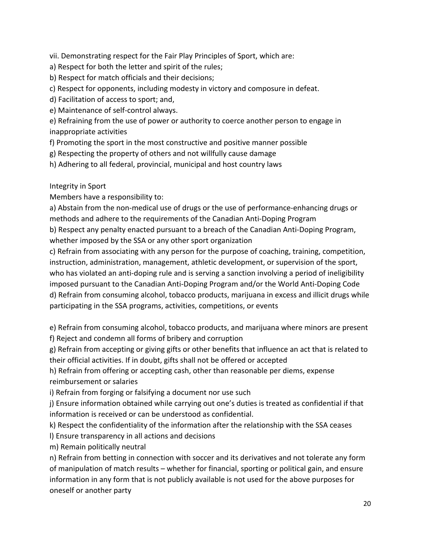vii. Demonstrating respect for the Fair Play Principles of Sport, which are:

- a) Respect for both the letter and spirit of the rules;
- b) Respect for match officials and their decisions;
- c) Respect for opponents, including modesty in victory and composure in defeat.
- d) Facilitation of access to sport; and,

e) Maintenance of self-control always.

e) Refraining from the use of power or authority to coerce another person to engage in inappropriate activities

- f) Promoting the sport in the most constructive and positive manner possible
- g) Respecting the property of others and not willfully cause damage

h) Adhering to all federal, provincial, municipal and host country laws

Integrity in Sport

Members have a responsibility to:

a) Abstain from the non-medical use of drugs or the use of performance-enhancing drugs or methods and adhere to the requirements of the Canadian Anti-Doping Program

b) Respect any penalty enacted pursuant to a breach of the Canadian Anti-Doping Program, whether imposed by the SSA or any other sport organization

c) Refrain from associating with any person for the purpose of coaching, training, competition, instruction, administration, management, athletic development, or supervision of the sport, who has violated an anti-doping rule and is serving a sanction involving a period of ineligibility imposed pursuant to the Canadian Anti-Doping Program and/or the World Anti-Doping Code d) Refrain from consuming alcohol, tobacco products, marijuana in excess and illicit drugs while participating in the SSA programs, activities, competitions, or events

e) Refrain from consuming alcohol, tobacco products, and marijuana where minors are present f) Reject and condemn all forms of bribery and corruption

g) Refrain from accepting or giving gifts or other benefits that influence an act that is related to their official activities. If in doubt, gifts shall not be offered or accepted

h) Refrain from offering or accepting cash, other than reasonable per diems, expense reimbursement or salaries

i) Refrain from forging or falsifying a document nor use such

j) Ensure information obtained while carrying out one's duties is treated as confidential if that information is received or can be understood as confidential.

k) Respect the confidentiality of the information after the relationship with the SSA ceases

l) Ensure transparency in all actions and decisions

m) Remain politically neutral

n) Refrain from betting in connection with soccer and its derivatives and not tolerate any form of manipulation of match results – whether for financial, sporting or political gain, and ensure information in any form that is not publicly available is not used for the above purposes for oneself or another party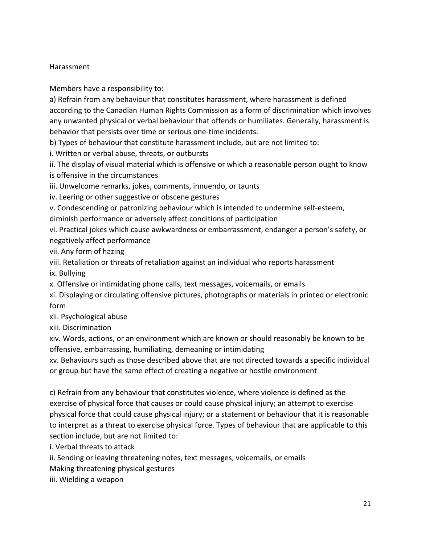### Harassment

Members have a responsibility to:

a) Refrain from any behaviour that constitutes harassment, where harassment is defined according to the Canadian Human Rights Commission as a form of discrimination which involves any unwanted physical or verbal behaviour that offends or humiliates. Generally, harassment is behavior that persists over time or serious one-time incidents.

b) Types of behaviour that constitute harassment include, but are not limited to:

i. Written or verbal abuse, threats, or outbursts

ii. The display of visual material which is offensive or which a reasonable person ought to know is offensive in the circumstances

iii. Unwelcome remarks, jokes, comments, innuendo, or taunts

iv. Leering or other suggestive or obscene gestures

v. Condescending or patronizing behaviour which is intended to undermine self-esteem, diminish performance or adversely affect conditions of participation

vi. Practical jokes which cause awkwardness or embarrassment, endanger a person's safety, or negatively affect performance

vii. Any form of hazing

viii. Retaliation or threats of retaliation against an individual who reports harassment

ix. Bullying

x. Offensive or intimidating phone calls, text messages, voicemails, or emails

xi. Displaying or circulating offensive pictures, photographs or materials in printed or electronic form

xii. Psychological abuse

xiii. Discrimination

xiv. Words, actions, or an environment which are known or should reasonably be known to be offensive, embarrassing, humiliating, demeaning or intimidating

xv. Behaviours such as those described above that are not directed towards a specific individual or group but have the same effect of creating a negative or hostile environment

c) Refrain from any behaviour that constitutes violence, where violence is defined as the exercise of physical force that causes or could cause physical injury; an attempt to exercise physical force that could cause physical injury; or a statement or behaviour that it is reasonable to interpret as a threat to exercise physical force. Types of behaviour that are applicable to this section include, but are not limited to:

i. Verbal threats to attack

ii. Sending or leaving threatening notes, text messages, voicemails, or emails

Making threatening physical gestures

iii. Wielding a weapon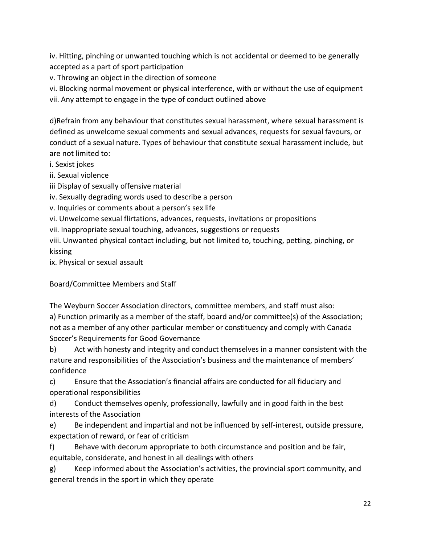iv. Hitting, pinching or unwanted touching which is not accidental or deemed to be generally accepted as a part of sport participation

v. Throwing an object in the direction of someone

vi. Blocking normal movement or physical interference, with or without the use of equipment vii. Any attempt to engage in the type of conduct outlined above

d)Refrain from any behaviour that constitutes sexual harassment, where sexual harassment is defined as unwelcome sexual comments and sexual advances, requests for sexual favours, or conduct of a sexual nature. Types of behaviour that constitute sexual harassment include, but are not limited to:

i. Sexist jokes

ii. Sexual violence

iii Display of sexually offensive material

iv. Sexually degrading words used to describe a person

v. Inquiries or comments about a person's sex life

vi. Unwelcome sexual flirtations, advances, requests, invitations or propositions

vii. Inappropriate sexual touching, advances, suggestions or requests

viii. Unwanted physical contact including, but not limited to, touching, petting, pinching, or kissing

ix. Physical or sexual assault

Board/Committee Members and Staff

The Weyburn Soccer Association directors, committee members, and staff must also: a) Function primarily as a member of the staff, board and/or committee(s) of the Association; not as a member of any other particular member or constituency and comply with Canada Soccer's Requirements for Good Governance

b) Act with honesty and integrity and conduct themselves in a manner consistent with the nature and responsibilities of the Association's business and the maintenance of members' confidence

c) Ensure that the Association's financial affairs are conducted for all fiduciary and operational responsibilities

d) Conduct themselves openly, professionally, lawfully and in good faith in the best interests of the Association

e) Be independent and impartial and not be influenced by self-interest, outside pressure, expectation of reward, or fear of criticism

f) Behave with decorum appropriate to both circumstance and position and be fair, equitable, considerate, and honest in all dealings with others

g) Keep informed about the Association's activities, the provincial sport community, and general trends in the sport in which they operate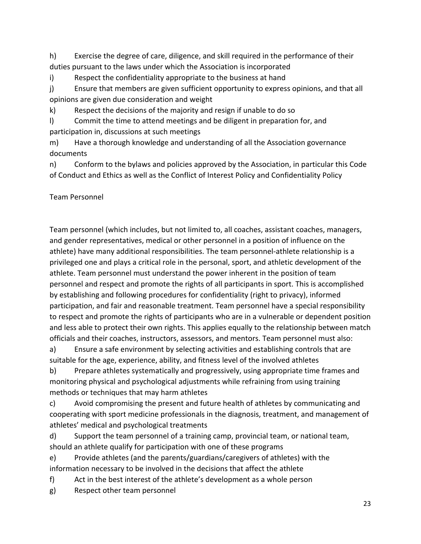h) Exercise the degree of care, diligence, and skill required in the performance of their duties pursuant to the laws under which the Association is incorporated

i) Respect the confidentiality appropriate to the business at hand

j) Ensure that members are given sufficient opportunity to express opinions, and that all opinions are given due consideration and weight

k) Respect the decisions of the majority and resign if unable to do so

l) Commit the time to attend meetings and be diligent in preparation for, and participation in, discussions at such meetings

m) Have a thorough knowledge and understanding of all the Association governance documents

n) Conform to the bylaws and policies approved by the Association, in particular this Code of Conduct and Ethics as well as the Conflict of Interest Policy and Confidentiality Policy

Team Personnel

Team personnel (which includes, but not limited to, all coaches, assistant coaches, managers, and gender representatives, medical or other personnel in a position of influence on the athlete) have many additional responsibilities. The team personnel-athlete relationship is a privileged one and plays a critical role in the personal, sport, and athletic development of the athlete. Team personnel must understand the power inherent in the position of team personnel and respect and promote the rights of all participants in sport. This is accomplished by establishing and following procedures for confidentiality (right to privacy), informed participation, and fair and reasonable treatment. Team personnel have a special responsibility to respect and promote the rights of participants who are in a vulnerable or dependent position and less able to protect their own rights. This applies equally to the relationship between match officials and their coaches, instructors, assessors, and mentors. Team personnel must also:

a) Ensure a safe environment by selecting activities and establishing controls that are suitable for the age, experience, ability, and fitness level of the involved athletes

b) Prepare athletes systematically and progressively, using appropriate time frames and monitoring physical and psychological adjustments while refraining from using training methods or techniques that may harm athletes

c) Avoid compromising the present and future health of athletes by communicating and cooperating with sport medicine professionals in the diagnosis, treatment, and management of athletes' medical and psychological treatments

d) Support the team personnel of a training camp, provincial team, or national team, should an athlete qualify for participation with one of these programs

e) Provide athletes (and the parents/guardians/caregivers of athletes) with the information necessary to be involved in the decisions that affect the athlete

f) Act in the best interest of the athlete's development as a whole person

g) Respect other team personnel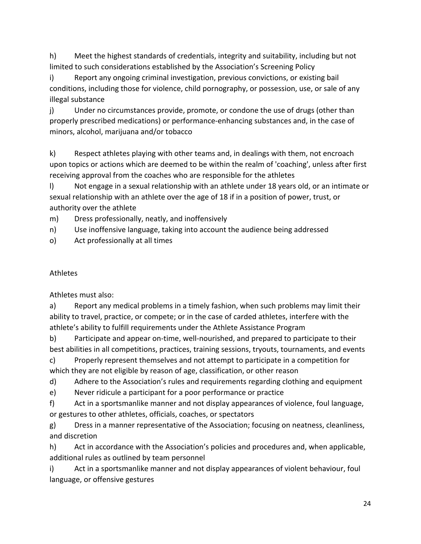h) Meet the highest standards of credentials, integrity and suitability, including but not limited to such considerations established by the Association's Screening Policy

i) Report any ongoing criminal investigation, previous convictions, or existing bail conditions, including those for violence, child pornography, or possession, use, or sale of any illegal substance

j) Under no circumstances provide, promote, or condone the use of drugs (other than properly prescribed medications) or performance-enhancing substances and, in the case of minors, alcohol, marijuana and/or tobacco

k) Respect athletes playing with other teams and, in dealings with them, not encroach upon topics or actions which are deemed to be within the realm of 'coaching', unless after first receiving approval from the coaches who are responsible for the athletes

l) Not engage in a sexual relationship with an athlete under 18 years old, or an intimate or sexual relationship with an athlete over the age of 18 if in a position of power, trust, or authority over the athlete

m) Dress professionally, neatly, and inoffensively

n) Use inoffensive language, taking into account the audience being addressed

o) Act professionally at all times

# Athletes

Athletes must also:

a) Report any medical problems in a timely fashion, when such problems may limit their ability to travel, practice, or compete; or in the case of carded athletes, interfere with the athlete's ability to fulfill requirements under the Athlete Assistance Program

b) Participate and appear on-time, well-nourished, and prepared to participate to their best abilities in all competitions, practices, training sessions, tryouts, tournaments, and events

c) Properly represent themselves and not attempt to participate in a competition for which they are not eligible by reason of age, classification, or other reason

d) Adhere to the Association's rules and requirements regarding clothing and equipment

e) Never ridicule a participant for a poor performance or practice

f) Act in a sportsmanlike manner and not display appearances of violence, foul language, or gestures to other athletes, officials, coaches, or spectators

g) Dress in a manner representative of the Association; focusing on neatness, cleanliness, and discretion

h) Act in accordance with the Association's policies and procedures and, when applicable, additional rules as outlined by team personnel

i) Act in a sportsmanlike manner and not display appearances of violent behaviour, foul language, or offensive gestures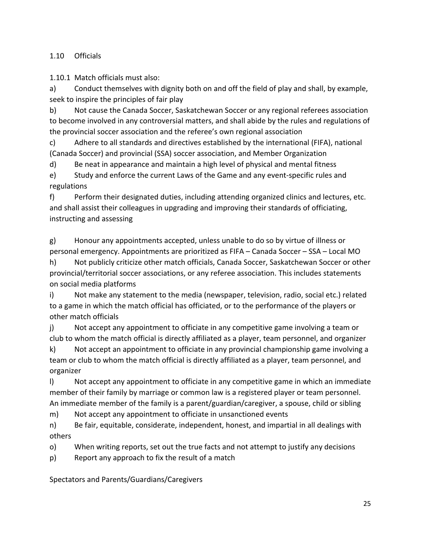1.10 Officials

1.10.1 Match officials must also:

a) Conduct themselves with dignity both on and off the field of play and shall, by example, seek to inspire the principles of fair play

b) Not cause the Canada Soccer, Saskatchewan Soccer or any regional referees association to become involved in any controversial matters, and shall abide by the rules and regulations of the provincial soccer association and the referee's own regional association

c) Adhere to all standards and directives established by the international (FIFA), national (Canada Soccer) and provincial (SSA) soccer association, and Member Organization

d) Be neat in appearance and maintain a high level of physical and mental fitness

e) Study and enforce the current Laws of the Game and any event-specific rules and regulations

f) Perform their designated duties, including attending organized clinics and lectures, etc. and shall assist their colleagues in upgrading and improving their standards of officiating, instructing and assessing

g) Honour any appointments accepted, unless unable to do so by virtue of illness or personal emergency. Appointments are prioritized as FIFA – Canada Soccer – SSA – Local MO

h) Not publicly criticize other match officials, Canada Soccer, Saskatchewan Soccer or other provincial/territorial soccer associations, or any referee association. This includes statements on social media platforms

i) Not make any statement to the media (newspaper, television, radio, social etc.) related to a game in which the match official has officiated, or to the performance of the players or other match officials

j) Not accept any appointment to officiate in any competitive game involving a team or club to whom the match official is directly affiliated as a player, team personnel, and organizer

k) Not accept an appointment to officiate in any provincial championship game involving a team or club to whom the match official is directly affiliated as a player, team personnel, and organizer

l) Not accept any appointment to officiate in any competitive game in which an immediate member of their family by marriage or common law is a registered player or team personnel. An immediate member of the family is a parent/guardian/caregiver, a spouse, child or sibling

m) Not accept any appointment to officiate in unsanctioned events

n) Be fair, equitable, considerate, independent, honest, and impartial in all dealings with others

o) When writing reports, set out the true facts and not attempt to justify any decisions

p) Report any approach to fix the result of a match

Spectators and Parents/Guardians/Caregivers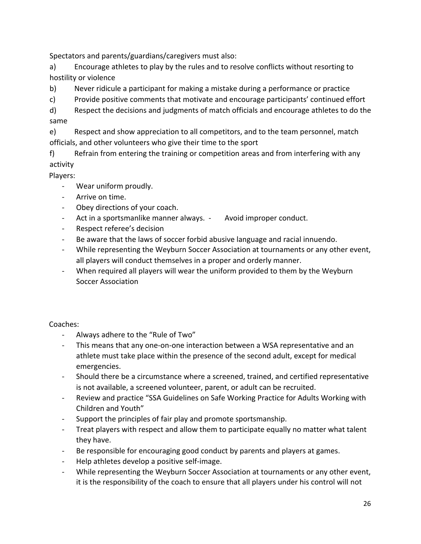Spectators and parents/guardians/caregivers must also:

a) Encourage athletes to play by the rules and to resolve conflicts without resorting to hostility or violence

b) Never ridicule a participant for making a mistake during a performance or practice

c) Provide positive comments that motivate and encourage participants' continued effort

d) Respect the decisions and judgments of match officials and encourage athletes to do the same

e) Respect and show appreciation to all competitors, and to the team personnel, match officials, and other volunteers who give their time to the sport

f) Refrain from entering the training or competition areas and from interfering with any activity

Players:

- Wear uniform proudly.
- Arrive on time.
- Obey directions of your coach.
- Act in a sportsmanlike manner always. Avoid improper conduct.
- Respect referee's decision
- Be aware that the laws of soccer forbid abusive language and racial innuendo.
- While representing the Weyburn Soccer Association at tournaments or any other event, all players will conduct themselves in a proper and orderly manner.
- When required all players will wear the uniform provided to them by the Weyburn Soccer Association

Coaches:

- Always adhere to the "Rule of Two"
- This means that any one-on-one interaction between a WSA representative and an athlete must take place within the presence of the second adult, except for medical emergencies.
- Should there be a circumstance where a screened, trained, and certified representative is not available, a screened volunteer, parent, or adult can be recruited.
- Review and practice "SSA Guidelines on Safe Working Practice for Adults Working with Children and Youth"
- Support the principles of fair play and promote sportsmanship.
- Treat players with respect and allow them to participate equally no matter what talent they have.
- Be responsible for encouraging good conduct by parents and players at games.
- Help athletes develop a positive self-image.
- While representing the Weyburn Soccer Association at tournaments or any other event, it is the responsibility of the coach to ensure that all players under his control will not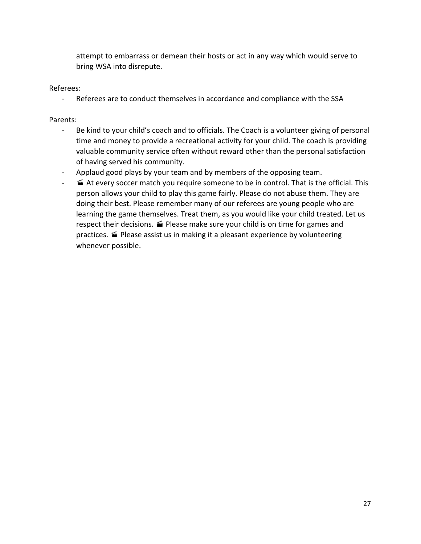attempt to embarrass or demean their hosts or act in any way which would serve to bring WSA into disrepute.

#### Referees:

- Referees are to conduct themselves in accordance and compliance with the SSA

#### Parents:

- Be kind to your child's coach and to officials. The Coach is a volunteer giving of personal time and money to provide a recreational activity for your child. The coach is providing valuable community service often without reward other than the personal satisfaction of having served his community.
- Applaud good plays by your team and by members of the opposing team.
- · At every soccer match you require someone to be in control. That is the official. This person allows your child to play this game fairly. Please do not abuse them. They are doing their best. Please remember many of our referees are young people who are learning the game themselves. Treat them, as you would like your child treated. Let us respect their decisions.  $\blacktriangleright$  Please make sure your child is on time for games and practices.  $\blacksquare$  Please assist us in making it a pleasant experience by volunteering whenever possible.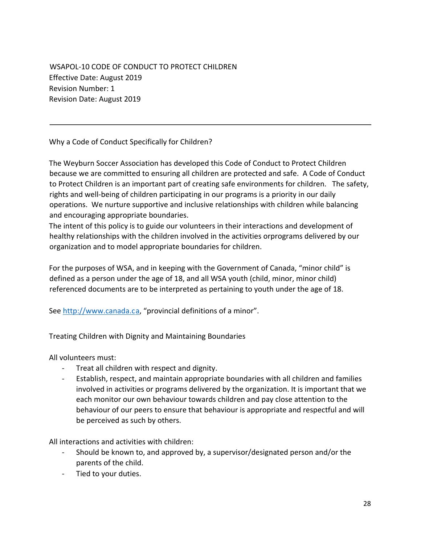WSAPOL-10 CODE OF CONDUCT TO PROTECT CHILDREN Effective Date: August 2019 Revision Number: 1 Revision Date: August 2019

Why a Code of Conduct Specifically for Children?

The Weyburn Soccer Association has developed this Code of Conduct to Protect Children because we are committed to ensuring all children are protected and safe. A Code of Conduct to Protect Children is an important part of creating safe environments for children. The safety, rights and well-being of children participating in our programs is a priority in our daily operations. We nurture supportive and inclusive relationships with children while balancing and encouraging appropriate boundaries.

The intent of this policy is to guide our volunteers in their interactions and development of healthy relationships with the children involved in the activities orprograms delivered by our organization and to model appropriate boundaries for children.

For the purposes of WSA, and in keeping with the Government of Canada, "minor child" is defined as a person under the age of 18, and all WSA youth (child, minor, minor child) referenced documents are to be interpreted as pertaining to youth under the age of 18.

See http://www.canada.ca, "provincial definitions of a minor".

Treating Children with Dignity and Maintaining Boundaries

All volunteers must:

- Treat all children with respect and dignity.
- Establish, respect, and maintain appropriate boundaries with all children and families involved in activities or programs delivered by the organization. It is important that we each monitor our own behaviour towards children and pay close attention to the behaviour of our peers to ensure that behaviour is appropriate and respectful and will be perceived as such by others.

All interactions and activities with children:

- Should be known to, and approved by, a supervisor/designated person and/or the parents of the child.
- Tied to your duties.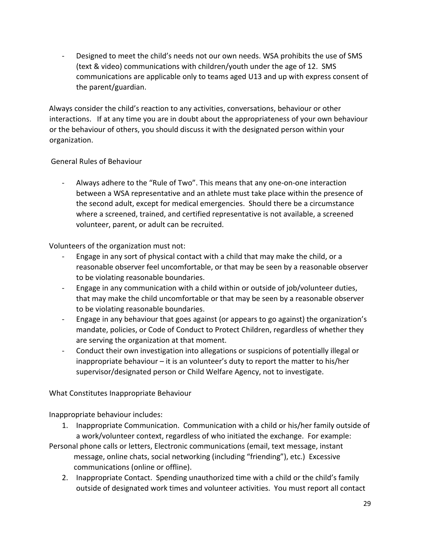Designed to meet the child's needs not our own needs. WSA prohibits the use of SMS (text & video) communications with children/youth under the age of 12. SMS communications are applicable only to teams aged U13 and up with express consent of the parent/guardian.

Always consider the child's reaction to any activities, conversations, behaviour or other interactions. If at any time you are in doubt about the appropriateness of your own behaviour or the behaviour of others, you should discuss it with the designated person within your organization.

#### General Rules of Behaviour

- Always adhere to the "Rule of Two". This means that any one-on-one interaction between a WSA representative and an athlete must take place within the presence of the second adult, except for medical emergencies. Should there be a circumstance where a screened, trained, and certified representative is not available, a screened volunteer, parent, or adult can be recruited.

Volunteers of the organization must not:

- Engage in any sort of physical contact with a child that may make the child, or a reasonable observer feel uncomfortable, or that may be seen by a reasonable observer to be violating reasonable boundaries.
- Engage in any communication with a child within or outside of job/volunteer duties, that may make the child uncomfortable or that may be seen by a reasonable observer to be violating reasonable boundaries.
- Engage in any behaviour that goes against (or appears to go against) the organization's mandate, policies, or Code of Conduct to Protect Children, regardless of whether they are serving the organization at that moment.
- Conduct their own investigation into allegations or suspicions of potentially illegal or inappropriate behaviour – it is an volunteer's duty to report the matter to his/her supervisor/designated person or Child Welfare Agency, not to investigate.

What Constitutes Inappropriate Behaviour

Inappropriate behaviour includes:

- 1. Inappropriate Communication. Communication with a child or his/her family outside of a work/volunteer context, regardless of who initiated the exchange. For example:
- Personal phone calls or letters, Electronic communications (email, text message, instant message, online chats, social networking (including "friending"), etc.) Excessive communications (online or offline).
	- 2. Inappropriate Contact. Spending unauthorized time with a child or the child's family outside of designated work times and volunteer activities. You must report all contact